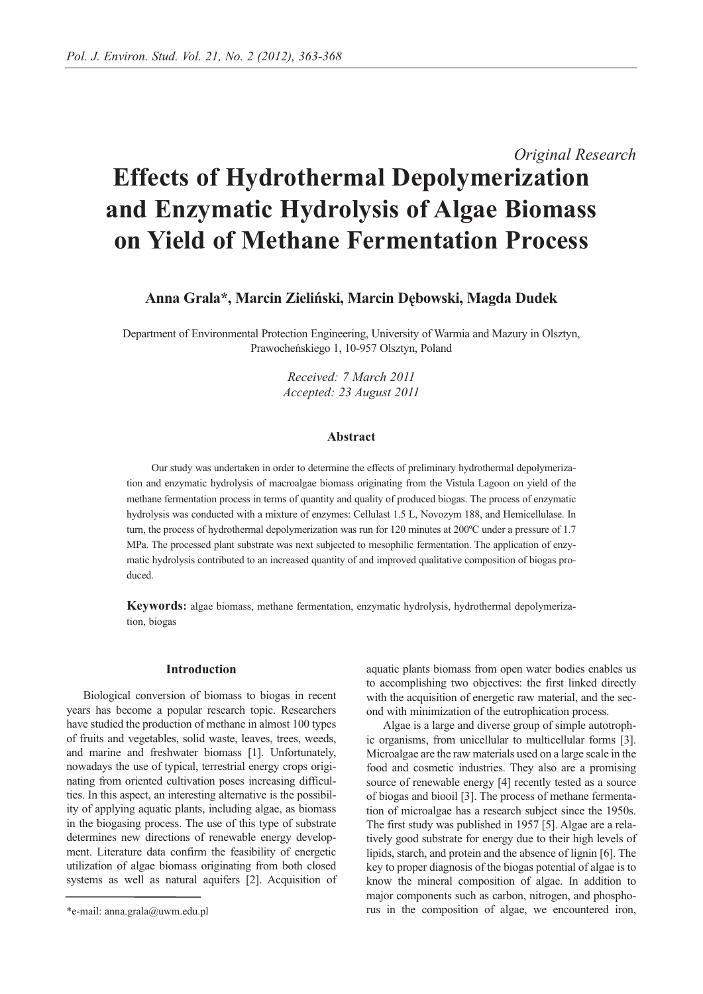# *Original Research* **Effects of Hydrothermal Depolymerization and Enzymatic Hydrolysis of Algae Biomass on Yield of Methane Fermentation Process**

**Anna Grala\*, Marcin Zieliński, Marcin Dębowski, Magda Dudek** 

Department of Environmental Protection Engineering, University of Warmia and Mazury in Olsztyn, Prawocheńskiego 1, 10-957 Olsztyn, Poland

> *Received: 7 March 2011 Accepted: 23 August 2011*

#### **Abstract**

Our study was undertaken in order to determine the effects of preliminary hydrothermal depolymerization and enzymatic hydrolysis of macroalgae biomass originating from the Vistula Lagoon on yield of the methane fermentation process in terms of quantity and quality of produced biogas. The process of enzymatic hydrolysis was conducted with a mixture of enzymes: Cellulast 1.5 L, Novozym 188, and Hemicellulase. In turn, the process of hydrothermal depolymerization was run for 120 minutes at 200ºC under a pressure of 1.7 MPa. The processed plant substrate was next subjected to mesophilic fermentation. The application of enzymatic hydrolysis contributed to an increased quantity of and improved qualitative composition of biogas produced.

**Keywords:** algae biomass, methane fermentation, enzymatic hydrolysis, hydrothermal depolymerization, biogas

## **Introduction**

Biological conversion of biomass to biogas in recent years has become a popular research topic. Researchers have studied the production of methane in almost 100 types of fruits and vegetables, solid waste, leaves, trees, weeds, and marine and freshwater biomass [1]. Unfortunately, nowadays the use of typical, terrestrial energy crops originating from oriented cultivation poses increasing difficulties. In this aspect, an interesting alternative is the possibility of applying aquatic plants, including algae, as biomass in the biogasing process. The use of this type of substrate determines new directions of renewable energy development. Literature data confirm the feasibility of energetic utilization of algae biomass originating from both closed systems as well as natural aquifers [2]. Acquisition of aquatic plants biomass from open water bodies enables us to accomplishing two objectives: the first linked directly with the acquisition of energetic raw material, and the second with minimization of the eutrophication process.

Algae is a large and diverse group of simple autotrophic organisms, from unicellular to multicellular forms [3]. Microalgae are the raw materials used on a large scale in the food and cosmetic industries. They also are a promising source of renewable energy [4] recently tested as a source of biogas and biooil [3]. The process of methane fermentation of microalgae has a research subject since the 1950s. The first study was published in 1957 [5]. Algae are a relatively good substrate for energy due to their high levels of lipids, starch, and protein and the absence of lignin [6]. The key to proper diagnosis of the biogas potential of algae is to know the mineral composition of algae. In addition to major components such as carbon, nitrogen, and phosphorus in the composition of algae, we encountered iron,

<sup>\*</sup>e-mail: anna.grala@uwm.edu.pl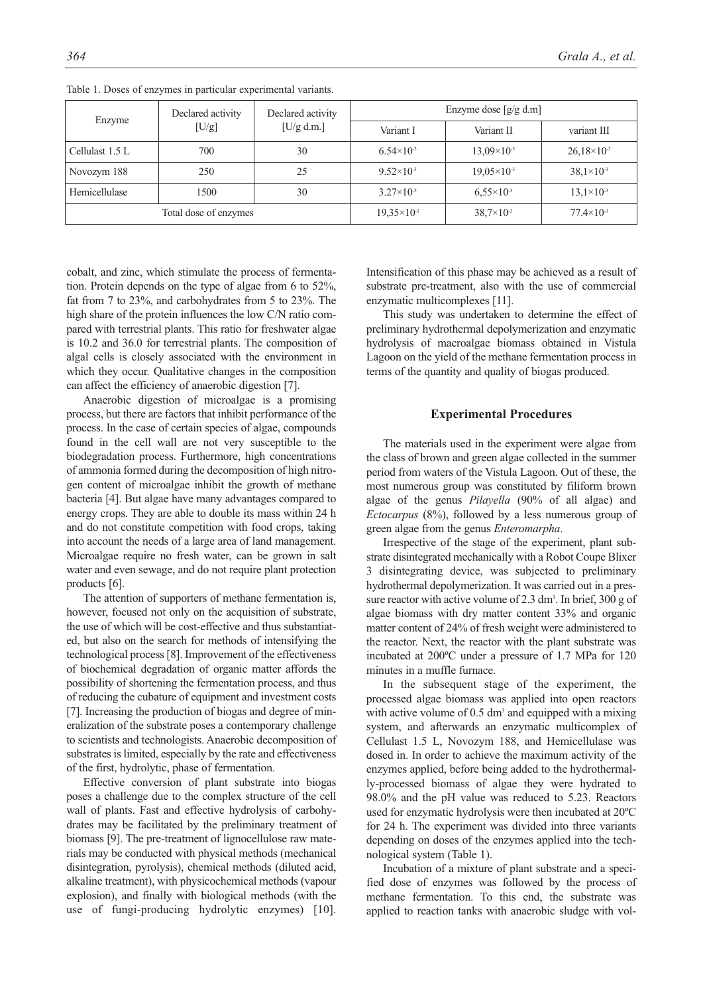| Enzyme                | Declared activity<br>[U/g] | Declared activity<br>$[U/g \, d.m.]$ | Enzyme dose $\lceil g/g \rceil$ d.m |                      |                       |
|-----------------------|----------------------------|--------------------------------------|-------------------------------------|----------------------|-----------------------|
|                       |                            |                                      | Variant I                           | Variant II           | variant III           |
| Cellulast 1.5 L       | 700                        | 30                                   | $6.54\times10^{-3}$                 | $13,09\times10^{-3}$ | $26,18\times10^{-3}$  |
| Novozym 188           | 250                        | 25                                   | $9.52\times10^{-3}$                 | $19,05\times10^{-3}$ | $38,1 \times 10^{-3}$ |
| Hemicellulase         | 1500                       | 30                                   | $3.27 \times 10^{-3}$               | $6.55\times10^{-3}$  | $13,1\times10^{-3}$   |
| Total dose of enzymes |                            |                                      | $19,35\times10^{-3}$                | $38,7\times10^{-3}$  | $77.4\times10^{-3}$   |

Table 1. Doses of enzymes in particular experimental variants.

cobalt, and zinc, which stimulate the process of fermentation. Protein depends on the type of algae from 6 to 52%, fat from 7 to 23%, and carbohydrates from 5 to 23%. The high share of the protein influences the low C/N ratio compared with terrestrial plants. This ratio for freshwater algae is 10.2 and 36.0 for terrestrial plants. The composition of algal cells is closely associated with the environment in which they occur. Qualitative changes in the composition can affect the efficiency of anaerobic digestion [7].

Anaerobic digestion of microalgae is a promising process, but there are factors that inhibit performance of the process. In the case of certain species of algae, compounds found in the cell wall are not very susceptible to the biodegradation process. Furthermore, high concentrations of ammonia formed during the decomposition of high nitrogen content of microalgae inhibit the growth of methane bacteria [4]. But algae have many advantages compared to energy crops. They are able to double its mass within 24 h and do not constitute competition with food crops, taking into account the needs of a large area of land management. Microalgae require no fresh water, can be grown in salt water and even sewage, and do not require plant protection products [6].

The attention of supporters of methane fermentation is, however, focused not only on the acquisition of substrate, the use of which will be cost-effective and thus substantiated, but also on the search for methods of intensifying the technological process [8]. Improvement of the effectiveness of biochemical degradation of organic matter affords the possibility of shortening the fermentation process, and thus of reducing the cubature of equipment and investment costs [7]. Increasing the production of biogas and degree of mineralization of the substrate poses a contemporary challenge to scientists and technologists. Anaerobic decomposition of substrates is limited, especially by the rate and effectiveness of the first, hydrolytic, phase of fermentation.

Effective conversion of plant substrate into biogas poses a challenge due to the complex structure of the cell wall of plants. Fast and effective hydrolysis of carbohydrates may be facilitated by the preliminary treatment of biomass [9]. The pre-treatment of lignocellulose raw materials may be conducted with physical methods (mechanical disintegration, pyrolysis), chemical methods (diluted acid, alkaline treatment), with physicochemical methods (vapour explosion), and finally with biological methods (with the use of fungi-producing hydrolytic enzymes) [10].

Intensification of this phase may be achieved as a result of substrate pre-treatment, also with the use of commercial enzymatic multicomplexes [11].

This study was undertaken to determine the effect of preliminary hydrothermal depolymerization and enzymatic hydrolysis of macroalgae biomass obtained in Vistula Lagoon on the yield of the methane fermentation process in terms of the quantity and quality of biogas produced.

## **Experimental Procedures**

The materials used in the experiment were algae from the class of brown and green algae collected in the summer period from waters of the Vistula Lagoon. Out of these, the most numerous group was constituted by filiform brown algae of the genus *Pilayella* (90% of all algae) and *Ectocarpus* (8%), followed by a less numerous group of green algae from the genus *Enteromarpha*.

Irrespective of the stage of the experiment, plant substrate disintegrated mechanically with a Robot Coupe Blixer 3 disintegrating device, was subjected to preliminary hydrothermal depolymerization. It was carried out in a pressure reactor with active volume of 2.3 dm<sup>3</sup>. In brief, 300 g of algae biomass with dry matter content 33% and organic matter content of 24% of fresh weight were administered to the reactor. Next, the reactor with the plant substrate was incubated at 200ºC under a pressure of 1.7 MPa for 120 minutes in a muffle furnace.

In the subsequent stage of the experiment, the processed algae biomass was applied into open reactors with active volume of  $0.5 \text{ dm}^3$  and equipped with a mixing system, and afterwards an enzymatic multicomplex of Cellulast 1.5 L, Novozym 188, and Hemicellulase was dosed in. In order to achieve the maximum activity of the enzymes applied, before being added to the hydrothermally-processed biomass of algae they were hydrated to 98.0% and the pH value was reduced to 5.23. Reactors used for enzymatic hydrolysis were then incubated at 20ºC for 24 h. The experiment was divided into three variants depending on doses of the enzymes applied into the technological system (Table 1).

Incubation of a mixture of plant substrate and a specified dose of enzymes was followed by the process of methane fermentation. To this end, the substrate was applied to reaction tanks with anaerobic sludge with vol-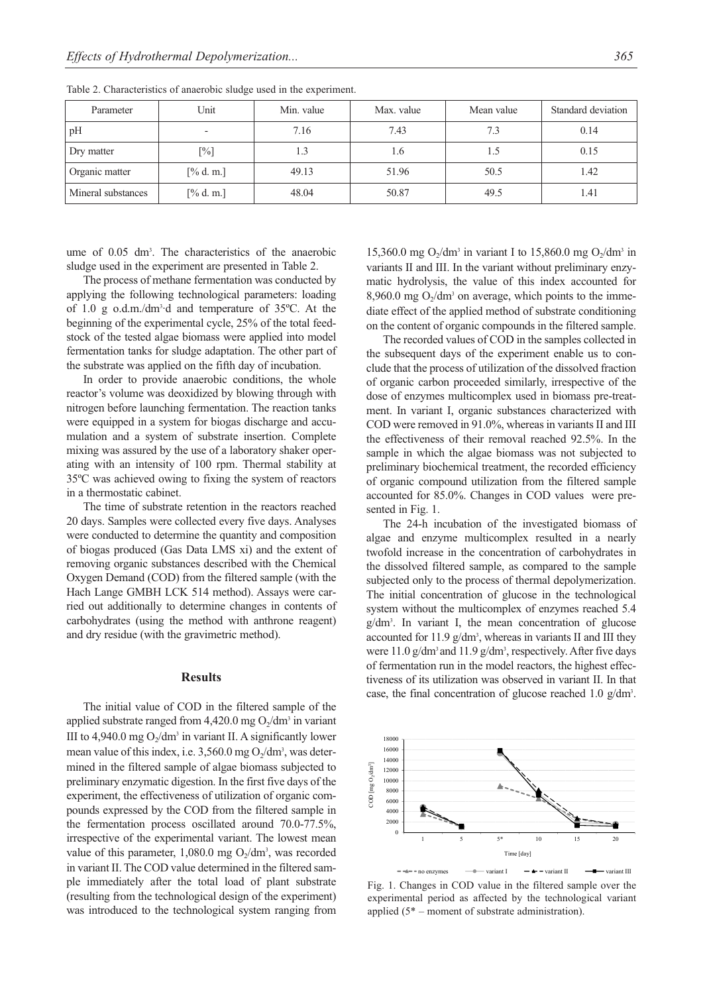| Parameter          | Unit                     | Min. value | Max. value | Mean value | Standard deviation |
|--------------------|--------------------------|------------|------------|------------|--------------------|
| pH                 | $\overline{\phantom{a}}$ | 7.16       | 7.43       | 7.3        | 0.14               |
| Dry matter         | $[\%]$                   | 1.3        | 1.6        | 1.5        | 0.15               |
| Organic matter     | $[\%$ d. m.]             | 49.13      | 51.96      | 50.5       | 1.42               |
| Mineral substances | $[\%$ d. m.]             | 48.04      | 50.87      | 49.5       | 1.41               |

Table 2. Characteristics of anaerobic sludge used in the experiment.

ume of 0.05 dm3 . The characteristics of the anaerobic sludge used in the experiment are presented in Table 2.

The process of methane fermentation was conducted by applying the following technological parameters: loading of 1.0 g o.d.m./dm3 ·d and temperature of 35ºC. At the beginning of the experimental cycle, 25% of the total feedstock of the tested algae biomass were applied into model fermentation tanks for sludge adaptation. The other part of the substrate was applied on the fifth day of incubation.

In order to provide anaerobic conditions, the whole reactor's volume was deoxidized by blowing through with nitrogen before launching fermentation. The reaction tanks were equipped in a system for biogas discharge and accumulation and a system of substrate insertion. Complete mixing was assured by the use of a laboratory shaker operating with an intensity of 100 rpm. Thermal stability at 35ºC was achieved owing to fixing the system of reactors in a thermostatic cabinet.

The time of substrate retention in the reactors reached 20 days. Samples were collected every five days. Analyses were conducted to determine the quantity and composition of biogas produced (Gas Data LMS xi) and the extent of removing organic substances described with the Chemical Oxygen Demand (COD) from the filtered sample (with the Hach Lange GMBH LCK 514 method). Assays were carried out additionally to determine changes in contents of carbohydrates (using the method with anthrone reagent) and dry residue (with the gravimetric method).

## **Results**

The initial value of COD in the filtered sample of the applied substrate ranged from  $4,420.0$  mg  $O_2/dm^3$  in variant III to 4,940.0 mg  $O_2/dm^3$  in variant II. A significantly lower mean value of this index, i.e.  $3,560.0$  mg  $O_2/dm^3$ , was determined in the filtered sample of algae biomass subjected to preliminary enzymatic digestion. In the first five days of the experiment, the effectiveness of utilization of organic compounds expressed by the COD from the filtered sample in the fermentation process oscillated around 70.0-77.5%, irrespective of the experimental variant. The lowest mean value of this parameter,  $1,080.0$  mg  $O_2/dm^3$ , was recorded in variant II. The COD value determined in the filtered sample immediately after the total load of plant substrate (resulting from the technological design of the experiment) was introduced to the technological system ranging from

15,360.0 mg  $O_2/dm^3$  in variant I to 15,860.0 mg  $O_2/dm^3$  in variants II and III. In the variant without preliminary enzymatic hydrolysis, the value of this index accounted for 8,960.0 mg  $O_2/dm^3$  on average, which points to the immediate effect of the applied method of substrate conditioning on the content of organic compounds in the filtered sample.

The recorded values of COD in the samples collected in the subsequent days of the experiment enable us to conclude that the process of utilization of the dissolved fraction of organic carbon proceeded similarly, irrespective of the dose of enzymes multicomplex used in biomass pre-treatment. In variant I, organic substances characterized with COD were removed in 91.0%, whereas in variants II and III the effectiveness of their removal reached 92.5%. In the sample in which the algae biomass was not subjected to preliminary biochemical treatment, the recorded efficiency of organic compound utilization from the filtered sample accounted for 85.0%. Changes in COD values were presented in Fig. 1.

The 24-h incubation of the investigated biomass of algae and enzyme multicomplex resulted in a nearly twofold increase in the concentration of carbohydrates in the dissolved filtered sample, as compared to the sample subjected only to the process of thermal depolymerization. The initial concentration of glucose in the technological system without the multicomplex of enzymes reached 5.4 g/dm3 . In variant I, the mean concentration of glucose accounted for  $11.9 \text{ g/dm}$ <sup>3</sup>, whereas in variants II and III they were  $11.0 \text{ g/dm}^3$  and  $11.9 \text{ g/dm}^3$ , respectively. After five days of fermentation run in the model reactors, the highest effectiveness of its utilization was observed in variant II. In that case, the final concentration of glucose reached 1.0 g/dm3 .



Fig. 1. Changes in COD value in the filtered sample over the experimental period as affected by the technological variant applied (5\* – moment of substrate administration).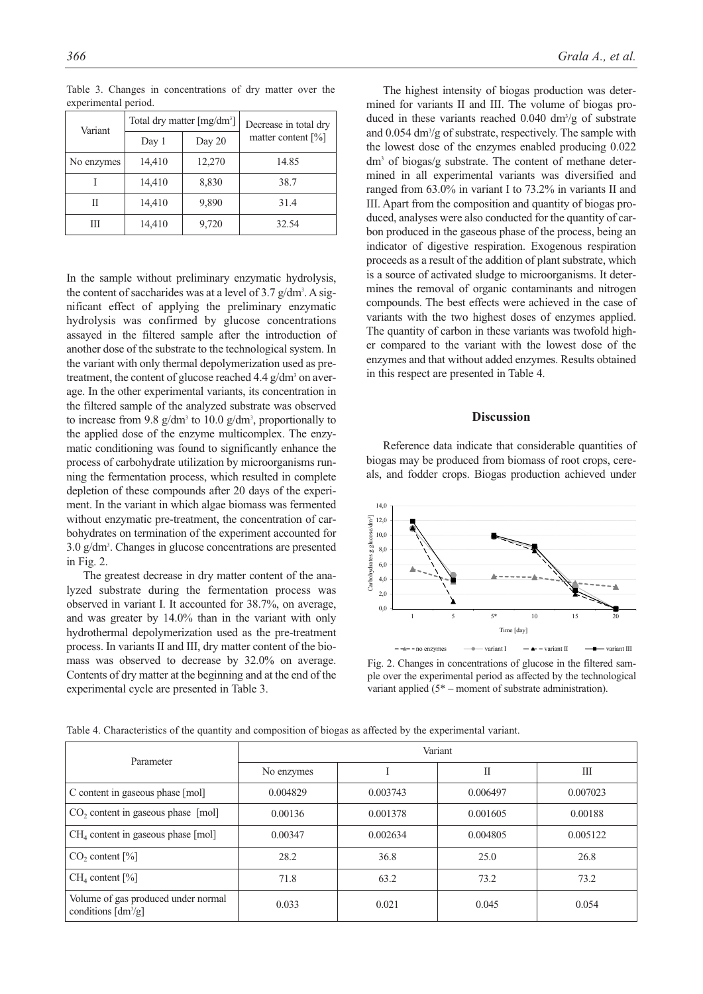| Variant    |        | Total dry matter $[mg/dm^3]$ | Decrease in total dry            |
|------------|--------|------------------------------|----------------------------------|
|            | Day 1  | Day 20                       | matter content $\lceil\% \rceil$ |
| No enzymes | 14,410 | 12,270                       | 14.85                            |
|            | 14,410 | 8,830                        | 38.7                             |
| Н          | 14,410 | 9,890                        | 31.4                             |
| Ш          | 14,410 | 9,720                        | 32.54                            |

Table 3. Changes in concentrations of dry matter over the experimental period.

In the sample without preliminary enzymatic hydrolysis, the content of saccharides was at a level of  $3.7$  g/dm<sup>3</sup>. A significant effect of applying the preliminary enzymatic hydrolysis was confirmed by glucose concentrations assayed in the filtered sample after the introduction of another dose of the substrate to the technological system. In the variant with only thermal depolymerization used as pretreatment, the content of glucose reached  $4.4$  g/dm<sup>3</sup> on average. In the other experimental variants, its concentration in the filtered sample of the analyzed substrate was observed to increase from 9.8  $g/dm^3$  to 10.0  $g/dm^3$ , proportionally to the applied dose of the enzyme multicomplex. The enzymatic conditioning was found to significantly enhance the process of carbohydrate utilization by microorganisms running the fermentation process, which resulted in complete depletion of these compounds after 20 days of the experiment. In the variant in which algae biomass was fermented without enzymatic pre-treatment, the concentration of carbohydrates on termination of the experiment accounted for 3.0 g/dm3 . Changes in glucose concentrations are presented in Fig. 2.

The greatest decrease in dry matter content of the analyzed substrate during the fermentation process was observed in variant I. It accounted for 38.7%, on average, and was greater by 14.0% than in the variant with only hydrothermal depolymerization used as the pre-treatment process. In variants II and III, dry matter content of the biomass was observed to decrease by 32.0% on average. Contents of dry matter at the beginning and at the end of the experimental cycle are presented in Table 3.

The highest intensity of biogas production was determined for variants II and III. The volume of biogas produced in these variants reached  $0.040 \text{ dm}^3\text{/g}$  of substrate and 0.054 dm<sup>3</sup>/g of substrate, respectively. The sample with the lowest dose of the enzymes enabled producing 0.022 dm3 of biogas/g substrate. The content of methane determined in all experimental variants was diversified and ranged from 63.0% in variant I to 73.2% in variants II and III. Apart from the composition and quantity of biogas produced, analyses were also conducted for the quantity of carbon produced in the gaseous phase of the process, being an indicator of digestive respiration. Exogenous respiration proceeds as a result of the addition of plant substrate, which is a source of activated sludge to microorganisms. It determines the removal of organic contaminants and nitrogen compounds. The best effects were achieved in the case of variants with the two highest doses of enzymes applied. The quantity of carbon in these variants was twofold higher compared to the variant with the lowest dose of the enzymes and that without added enzymes. Results obtained in this respect are presented in Table 4.

### **Discussion**

Reference data indicate that considerable quantities of biogas may be produced from biomass of root crops, cereals, and fodder crops. Biogas production achieved under



Fig. 2. Changes in concentrations of glucose in the filtered sample over the experimental period as affected by the technological variant applied (5\* – moment of substrate administration).

| Table 4. Characteristics of the quantity and composition of biogas as affected by the experimental variant. |  |  |
|-------------------------------------------------------------------------------------------------------------|--|--|
|-------------------------------------------------------------------------------------------------------------|--|--|

| Parameter                                                               | Variant    |          |          |          |  |
|-------------------------------------------------------------------------|------------|----------|----------|----------|--|
|                                                                         | No enzymes |          | П        | Ш        |  |
| C content in gaseous phase [mol]                                        | 0.004829   | 0.003743 | 0.006497 | 0.007023 |  |
| $CO2$ content in gaseous phase [mol]                                    | 0.00136    | 0.001378 | 0.001605 | 0.00188  |  |
| $CH4$ content in gaseous phase [mol]                                    | 0.00347    | 0.002634 | 0.004805 | 0.005122 |  |
| $CO2$ content $[\%]$                                                    | 28.2       | 36.8     | 25.0     | 26.8     |  |
| CH <sub>4</sub> content [%]                                             | 71.8       | 63.2     | 73.2     | 73.2     |  |
| Volume of gas produced under normal<br>conditions $\left[dm^3/g\right]$ | 0.033      | 0.021    | 0.045    | 0.054    |  |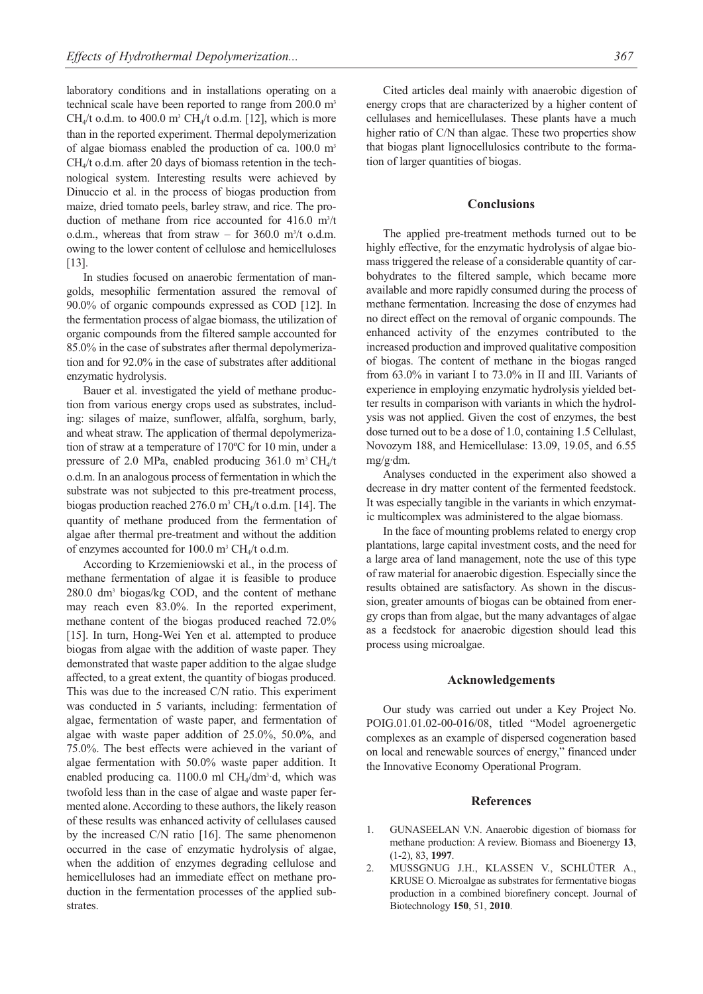laboratory conditions and in installations operating on a technical scale have been reported to range from 200.0 m<sup>3</sup> CH<sub>4</sub>/t o.d.m. to 400.0 m<sup>3</sup> CH<sub>4</sub>/t o.d.m. [12], which is more than in the reported experiment. Thermal depolymerization of algae biomass enabled the production of ca. 100.0 m<sup>3</sup> CH4/t o.d.m. after 20 days of biomass retention in the technological system. Interesting results were achieved by Dinuccio et al. in the process of biogas production from maize, dried tomato peels, barley straw, and rice. The production of methane from rice accounted for  $416.0 \text{ m}^3$ /t o.d.m., whereas that from straw  $-$  for 360.0 m<sup>3</sup>/t o.d.m. owing to the lower content of cellulose and hemicelluloses [13].

In studies focused on anaerobic fermentation of mangolds, mesophilic fermentation assured the removal of 90.0% of organic compounds expressed as COD [12]. In the fermentation process of algae biomass, the utilization of organic compounds from the filtered sample accounted for 85.0% in the case of substrates after thermal depolymerization and for 92.0% in the case of substrates after additional enzymatic hydrolysis.

Bauer et al. investigated the yield of methane production from various energy crops used as substrates, including: silages of maize, sunflower, alfalfa, sorghum, barly, and wheat straw. The application of thermal depolymerization of straw at a temperature of 170ºC for 10 min, under a pressure of 2.0 MPa, enabled producing  $361.0 \text{ m}^3 \text{CH}_4/\text{t}$ o.d.m. In an analogous process of fermentation in which the substrate was not subjected to this pre-treatment process, biogas production reached  $276.0$  m<sup>3</sup> CH<sub>4</sub>/t o.d.m. [14]. The quantity of methane produced from the fermentation of algae after thermal pre-treatment and without the addition of enzymes accounted for 100.0  $m^3$  CH<sub>4</sub>/t o.d.m.

According to Krzemieniowski et al., in the process of methane fermentation of algae it is feasible to produce 280.0 dm3 biogas/kg COD, and the content of methane may reach even 83.0%. In the reported experiment, methane content of the biogas produced reached 72.0% [15]. In turn, Hong-Wei Yen et al. attempted to produce biogas from algae with the addition of waste paper. They demonstrated that waste paper addition to the algae sludge affected, to a great extent, the quantity of biogas produced. This was due to the increased C/N ratio. This experiment was conducted in 5 variants, including: fermentation of algae, fermentation of waste paper, and fermentation of algae with waste paper addition of 25.0%, 50.0%, and 75.0%. The best effects were achieved in the variant of algae fermentation with 50.0% waste paper addition. It enabled producing ca. 1100.0 ml CH<sub>4</sub>/dm<sup>3</sup>·d, which was twofold less than in the case of algae and waste paper fermented alone. According to these authors, the likely reason of these results was enhanced activity of cellulases caused by the increased C/N ratio [16]. The same phenomenon occurred in the case of enzymatic hydrolysis of algae, when the addition of enzymes degrading cellulose and hemicelluloses had an immediate effect on methane production in the fermentation processes of the applied substrates.

Cited articles deal mainly with anaerobic digestion of energy crops that are characterized by a higher content of cellulases and hemicellulases. These plants have a much higher ratio of C/N than algae. These two properties show that biogas plant lignocellulosics contribute to the formation of larger quantities of biogas.

## **Conclusions**

The applied pre-treatment methods turned out to be highly effective, for the enzymatic hydrolysis of algae biomass triggered the release of a considerable quantity of carbohydrates to the filtered sample, which became more available and more rapidly consumed during the process of methane fermentation. Increasing the dose of enzymes had no direct effect on the removal of organic compounds. The enhanced activity of the enzymes contributed to the increased production and improved qualitative composition of biogas. The content of methane in the biogas ranged from 63.0% in variant I to 73.0% in II and III. Variants of experience in employing enzymatic hydrolysis yielded better results in comparison with variants in which the hydrolysis was not applied. Given the cost of enzymes, the best dose turned out to be a dose of 1.0, containing 1.5 Cellulast, Novozym 188, and Hemicellulase: 13.09, 19.05, and 6.55 mg/g·dm.

Analyses conducted in the experiment also showed a decrease in dry matter content of the fermented feedstock. It was especially tangible in the variants in which enzymatic multicomplex was administered to the algae biomass.

In the face of mounting problems related to energy crop plantations, large capital investment costs, and the need for a large area of land management, note the use of this type of raw material for anaerobic digestion. Especially since the results obtained are satisfactory. As shown in the discussion, greater amounts of biogas can be obtained from energy crops than from algae, but the many advantages of algae as a feedstock for anaerobic digestion should lead this process using microalgae.

#### **Acknowledgements**

Our study was carried out under a Key Project No. POIG.01.01.02-00-016/08, titled "Model agroenergetic complexes as an example of dispersed cogeneration based on local and renewable sources of energy," financed under the Innovative Economy Operational Program.

#### **References**

- 1. GUNASEELAN V.N. Anaerobic digestion of biomass for methane production: A review. Biomass and Bioenergy **13**, (1-2), 83, **1997**.
- 2. MUSSGNUG J.H., KLASSEN V., SCHLÜTER A., KRUSE O. Microalgae as substrates for fermentative biogas production in a combined biorefinery concept. Journal of Biotechnology **150**, 51, **2010**.